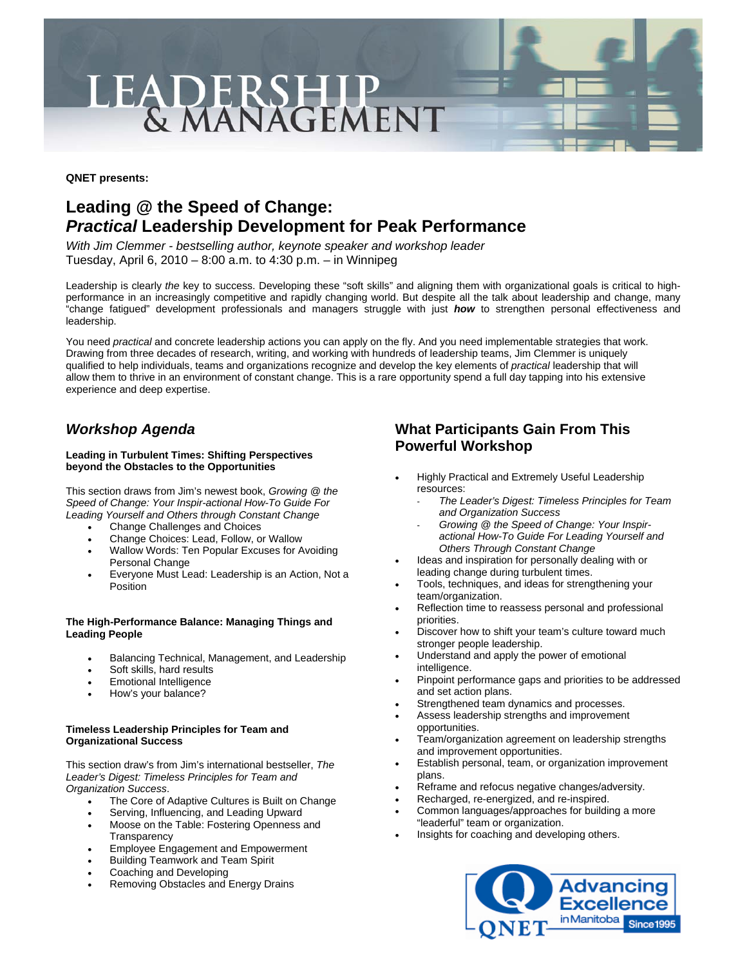# LEADERSHIP<br>& MANAGEMENT

**QNET presents:** 

# **Leading @ the Speed of Change:**  *Practical* **Leadership Development for Peak Performance**

*With Jim Clemmer - bestselling author, keynote speaker and workshop leader* Tuesday, April 6, 2010 – 8:00 a.m. to 4:30 p.m. – in Winnipeg

Leadership is clearly *the* key to success. Developing these "soft skills" and aligning them with organizational goals is critical to highperformance in an increasingly competitive and rapidly changing world. But despite all the talk about leadership and change, many "change fatigued" development professionals and managers struggle with just *how* to strengthen personal effectiveness and leadership.

You need *practical* and concrete leadership actions you can apply on the fly. And you need implementable strategies that work. Drawing from three decades of research, writing, and working with hundreds of leadership teams, Jim Clemmer is uniquely qualified to help individuals, teams and organizations recognize and develop the key elements of *practical* leadership that will allow them to thrive in an environment of constant change. This is a rare opportunity spend a full day tapping into his extensive experience and deep expertise.

# *Workshop Agenda*

### **Leading in Turbulent Times: Shifting Perspectives beyond the Obstacles to the Opportunities**

This section draws from Jim's newest book, *Growing @ the Speed of Change: Your Inspir-actional How-To Guide For Leading Yourself and Others through Constant Change*

- Change Challenges and Choices
- Change Choices: Lead, Follow, or Wallow
- Wallow Words: Ten Popular Excuses for Avoiding Personal Change
- Everyone Must Lead: Leadership is an Action, Not a Position

### **The High-Performance Balance: Managing Things and Leading People**

- Balancing Technical, Management, and Leadership
- Soft skills, hard results
- Emotional Intelligence
- How's your balance?

### **Timeless Leadership Principles for Team and Organizational Success**

This section draw's from Jim's international bestseller, *The Leader's Digest: Timeless Principles for Team and Organization Success*.

- The Core of Adaptive Cultures is Built on Change
- Serving, Influencing, and Leading Upward
- Moose on the Table: Fostering Openness and **Transparency**
- Employee Engagement and Empowerment
- Building Teamwork and Team Spirit
- Coaching and Developing
- Removing Obstacles and Energy Drains

# **What Participants Gain From This Powerful Workshop**

- Highly Practical and Extremely Useful Leadership resources:
	- *The Leader's Digest: Timeless Principles for Team and Organization Success*
	- *Growing @ the Speed of Change: Your Inspiractional How-To Guide For Leading Yourself and Others Through Constant Change*
- Ideas and inspiration for personally dealing with or leading change during turbulent times.
- Tools, techniques, and ideas for strengthening your team/organization.
- Reflection time to reassess personal and professional priorities.
- Discover how to shift your team's culture toward much stronger people leadership.
- Understand and apply the power of emotional intelligence.
- Pinpoint performance gaps and priorities to be addressed and set action plans.
- Strengthened team dynamics and processes.
- Assess leadership strengths and improvement opportunities.
- Team/organization agreement on leadership strengths and improvement opportunities.
- Establish personal, team, or organization improvement plans.
- Reframe and refocus negative changes/adversity.
- Recharged, re-energized, and re-inspired.
- Common languages/approaches for building a more "leaderful" team or organization.
- Insights for coaching and developing others.